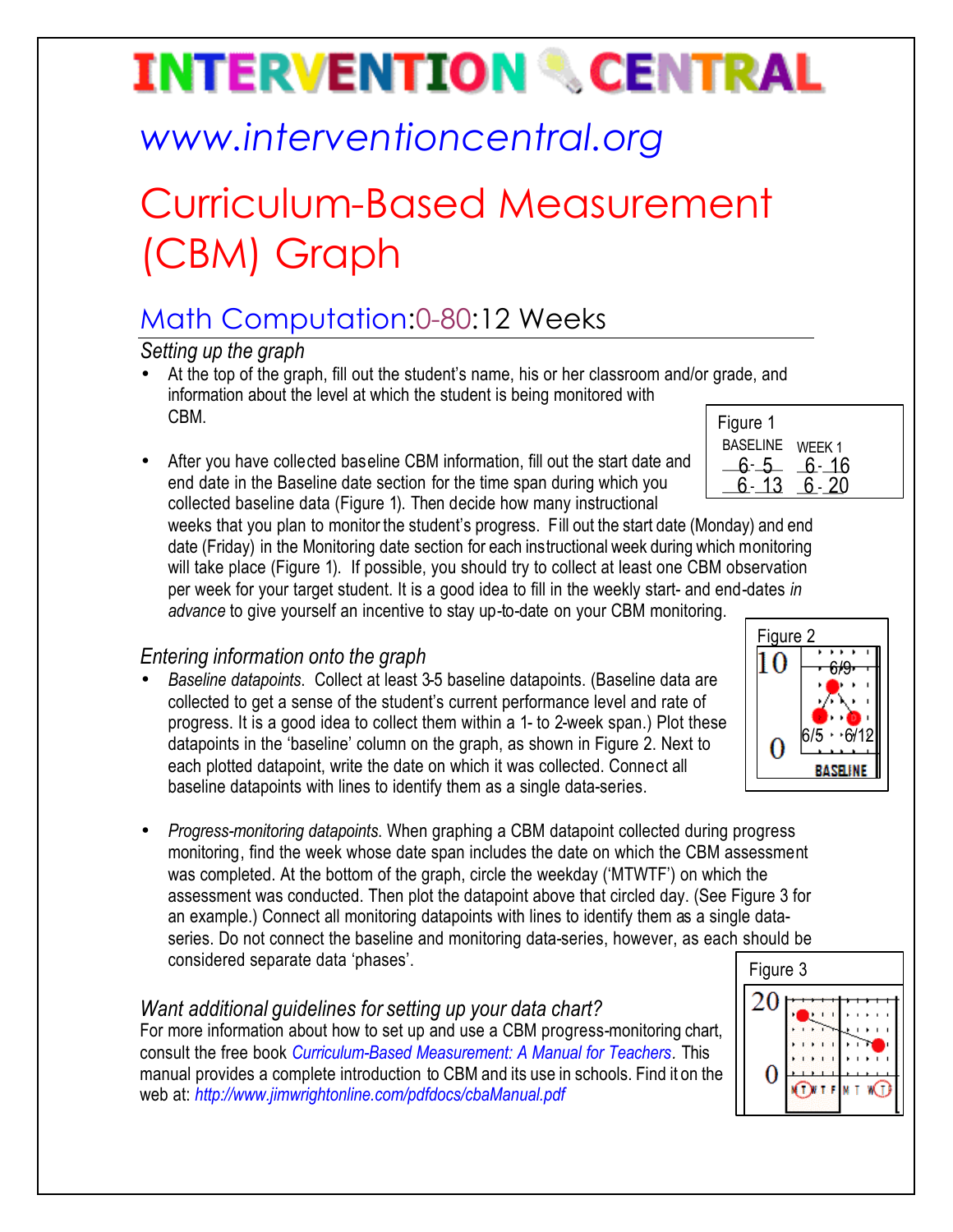# **INTERVENTION & CENTRAL**

## *www.interventioncentral.org*

## Curriculum-Based Measurement (CBM) Graph

### Math Computation:0-80:12 Weeks

*Setting up the graph*

- At the top of the graph, fill out the student's name, his or her classroom and/or grade, and information about the level at which the student is being monitored with CBM.
- After you have collected baseline CBM information, fill out the start date and end date in the Baseline date section for the time span during which you collected baseline data (Figure 1). Then decide how many instructional

| Figure 1        |        |
|-----------------|--------|
| <b>BASELINE</b> | WEEK 1 |
|                 | 6- 16  |
|                 |        |
|                 |        |

weeks that you plan to monitor the student's progress. Fill out the start date (Monday) and end date (Friday) in the Monitoring date section for each instructional week during which monitoring will take place (Figure 1). If possible, you should try to collect at least one CBM observation per week for your target student. It is a good idea to fill in the weekly start- and end-dates *in advance* to give yourself an incentive to stay up-to-date on your CBM monitoring.

### *Entering information onto the graph*

- *Baseline datapoints*. Collect at least 3-5 baseline datapoints. (Baseline data are collected to get a sense of the student's current performance level and rate of progress. It is a good idea to collect them within a 1- to 2-week span.) Plot these datapoints in the 'baseline' column on the graph, as shown in Figure 2. Next to each plotted datapoint, write the date on which it was collected. Connect all baseline datapoints with lines to identify them as a single data-series.
- *Progress-monitoring datapoints*. When graphing a CBM datapoint collected during progress monitoring, find the week whose date span includes the date on which the CBM assessment was completed. At the bottom of the graph, circle the weekday ('MTWTF') on which the assessment was conducted. Then plot the datapoint above that circled day. (See Figure 3 for an example.) Connect all monitoring datapoints with lines to identify them as a single dataseries. Do not connect the baseline and monitoring data-series, however, as each should be considered separate data 'phases'.

#### *Want additional guidelines for setting up your data chart?*

For more information about how to set up and use a CBM progress-monitoring chart, consult the free book *Curriculum-Based Measurement: A Manual for Teachers.* This manual provides a complete introduction to CBM and its use in schools. Find it on the web at: *http://www.jimwrightonline.com/pdfdocs/cbaManual.pdf*